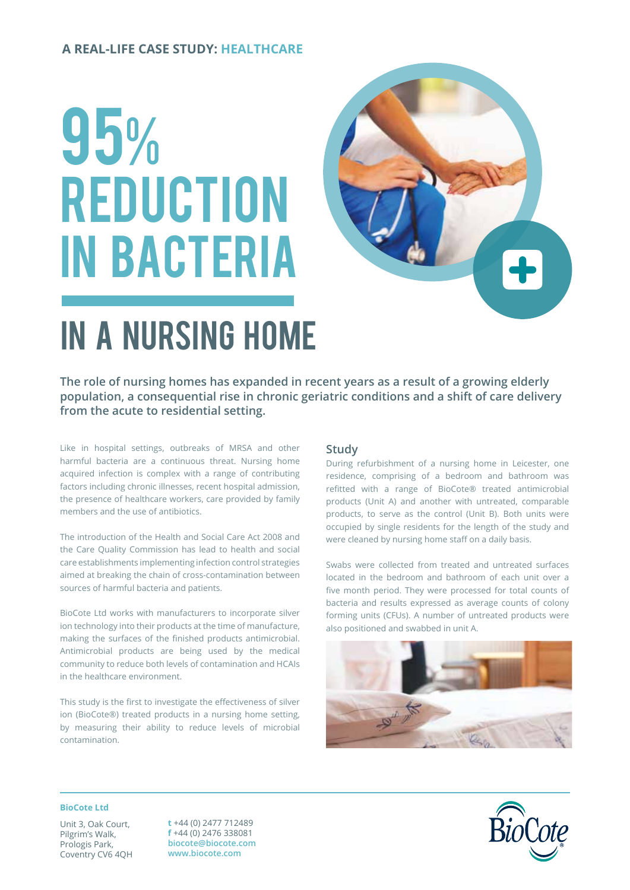## **A REAL-LIFE CASE STUDY: HEALTHCARE**

# 95% **REDUCTION** in bacteria



# in a NURSING HOME

**The role of nursing homes has expanded in recent years as a result of a growing elderly population, a consequential rise in chronic geriatric conditions and a shift of care delivery from the acute to residential setting.**

Like in hospital settings, outbreaks of MRSA and other harmful bacteria are a continuous threat. Nursing home acquired infection is complex with a range of contributing factors including chronic illnesses, recent hospital admission, the presence of healthcare workers, care provided by family members and the use of antibiotics.

The introduction of the Health and Social Care Act 2008 and the Care Quality Commission has lead to health and social care establishments implementing infection control strategies aimed at breaking the chain of cross-contamination between sources of harmful bacteria and patients.

BioCote Ltd works with manufacturers to incorporate silver ion technology into their products at the time of manufacture, making the surfaces of the finished products antimicrobial. Antimicrobial products are being used by the medical community to reduce both levels of contamination and HCAIs in the healthcare environment.

This study is the first to investigate the effectiveness of silver ion (BioCote®) treated products in a nursing home setting, by measuring their ability to reduce levels of microbial contamination.

### **Study**

During refurbishment of a nursing home in Leicester, one residence, comprising of a bedroom and bathroom was refitted with a range of BioCote® treated antimicrobial products (Unit A) and another with untreated, comparable products, to serve as the control (Unit B). Both units were occupied by single residents for the length of the study and were cleaned by nursing home staff on a daily basis.

Swabs were collected from treated and untreated surfaces located in the bedroom and bathroom of each unit over a five month period. They were processed for total counts of bacteria and results expressed as average counts of colony forming units (CFUs). A number of untreated products were also positioned and swabbed in unit A.



#### **BioCote Ltd**

Unit 3, Oak Court, Pilgrim's Walk, Prologis Park, Coventry CV6 4QH

**t** +44 (0) 2477 712489 **f** +44 (0) 2476 338081 **biocote@biocote.com www.biocote.com**